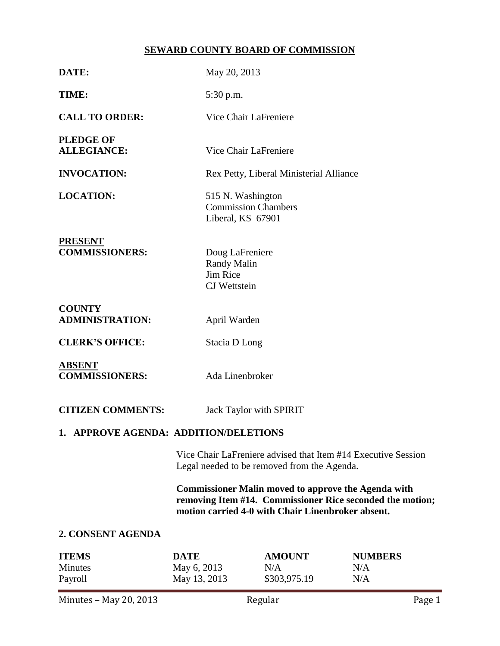# **SEWARD COUNTY BOARD OF COMMISSION**

| DATE:                                     | May 20, 2013                                                                                                                                                                 |                                      |                              |  |  |  |
|-------------------------------------------|------------------------------------------------------------------------------------------------------------------------------------------------------------------------------|--------------------------------------|------------------------------|--|--|--|
| TIME:                                     | 5:30 p.m.                                                                                                                                                                    |                                      |                              |  |  |  |
| <b>CALL TO ORDER:</b>                     |                                                                                                                                                                              | Vice Chair LaFreniere                |                              |  |  |  |
| <b>PLEDGE OF</b><br><b>ALLEGIANCE:</b>    |                                                                                                                                                                              | Vice Chair LaFreniere                |                              |  |  |  |
| <b>INVOCATION:</b>                        | Rex Petty, Liberal Ministerial Alliance                                                                                                                                      |                                      |                              |  |  |  |
| <b>LOCATION:</b>                          | 515 N. Washington<br><b>Commission Chambers</b><br>Liberal, KS 67901                                                                                                         |                                      |                              |  |  |  |
| <b>PRESENT</b><br><b>COMMISSIONERS:</b>   | Doug LaFreniere<br><b>Randy Malin</b><br><b>Jim Rice</b><br><b>CJ</b> Wettstein                                                                                              |                                      |                              |  |  |  |
| <b>COUNTY</b><br><b>ADMINISTRATION:</b>   | April Warden                                                                                                                                                                 |                                      |                              |  |  |  |
| <b>CLERK'S OFFICE:</b>                    | Stacia D Long                                                                                                                                                                |                                      |                              |  |  |  |
| <b>ABSENT</b><br><b>COMMISSIONERS:</b>    | Ada Linenbroker                                                                                                                                                              |                                      |                              |  |  |  |
| <b>CITIZEN COMMENTS:</b>                  |                                                                                                                                                                              | Jack Taylor with SPIRIT              |                              |  |  |  |
| 1. APPROVE AGENDA: ADDITION/DELETIONS     |                                                                                                                                                                              |                                      |                              |  |  |  |
|                                           | Vice Chair LaFreniere advised that Item #14 Executive Session<br>Legal needed to be removed from the Agenda.                                                                 |                                      |                              |  |  |  |
|                                           | <b>Commissioner Malin moved to approve the Agenda with</b><br>removing Item #14. Commissioner Rice seconded the motion;<br>motion carried 4-0 with Chair Linenbroker absent. |                                      |                              |  |  |  |
| 2. CONSENT AGENDA                         |                                                                                                                                                                              |                                      |                              |  |  |  |
| <b>ITEMS</b><br><b>Minutes</b><br>Payroll | <b>DATE</b><br>May 6, 2013<br>May 13, 2013                                                                                                                                   | <b>AMOUNT</b><br>N/A<br>\$303,975.19 | <b>NUMBERS</b><br>N/A<br>N/A |  |  |  |
| Minutes - May 20, 2013                    |                                                                                                                                                                              | Regular                              | Page 1                       |  |  |  |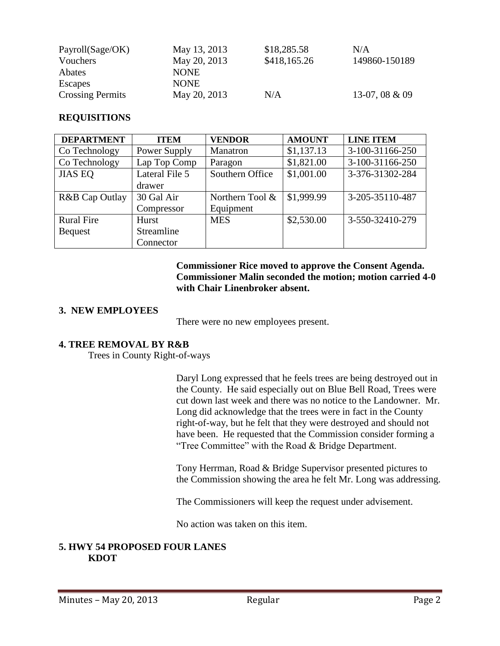| Payroll(Sage/OK)        | May 13, 2013 | \$18,285.58  | N/A              |
|-------------------------|--------------|--------------|------------------|
| Vouchers                | May 20, 2013 | \$418,165.26 | 149860-150189    |
| Abates                  | <b>NONE</b>  |              |                  |
| Escapes                 | <b>NONE</b>  |              |                  |
| <b>Crossing Permits</b> | May 20, 2013 | N/A          | 13-07, 08 $&$ 09 |

## **REQUISITIONS**

| <b>DEPARTMENT</b> | <b>ITEM</b>    | <b>VENDOR</b>      | <b>AMOUNT</b> | <b>LINE ITEM</b> |
|-------------------|----------------|--------------------|---------------|------------------|
| Co Technology     | Power Supply   | Manatron           | \$1,137.13    | 3-100-31166-250  |
| Co Technology     | Lap Top Comp   | Paragon            | \$1,821.00    | 3-100-31166-250  |
| <b>JIAS EQ</b>    | Lateral File 5 | Southern Office    | \$1,001.00    | 3-376-31302-284  |
|                   | drawer         |                    |               |                  |
| R&B Cap Outlay    | 30 Gal Air     | Northern Tool $\&$ | \$1,999.99    | 3-205-35110-487  |
|                   | Compressor     | Equipment          |               |                  |
| <b>Rural Fire</b> | Hurst          | <b>MES</b>         | \$2,530.00    | 3-550-32410-279  |
| <b>Bequest</b>    | Streamline     |                    |               |                  |
|                   | Connector      |                    |               |                  |

**Commissioner Rice moved to approve the Consent Agenda. Commissioner Malin seconded the motion; motion carried 4-0 with Chair Linenbroker absent.**

## **3. NEW EMPLOYEES**

There were no new employees present.

# **4. TREE REMOVAL BY R&B**

Trees in County Right-of-ways

Daryl Long expressed that he feels trees are being destroyed out in the County. He said especially out on Blue Bell Road, Trees were cut down last week and there was no notice to the Landowner. Mr. Long did acknowledge that the trees were in fact in the County right-of-way, but he felt that they were destroyed and should not have been. He requested that the Commission consider forming a "Tree Committee" with the Road & Bridge Department.

Tony Herrman, Road & Bridge Supervisor presented pictures to the Commission showing the area he felt Mr. Long was addressing.

The Commissioners will keep the request under advisement.

No action was taken on this item.

# **5. HWY 54 PROPOSED FOUR LANES KDOT**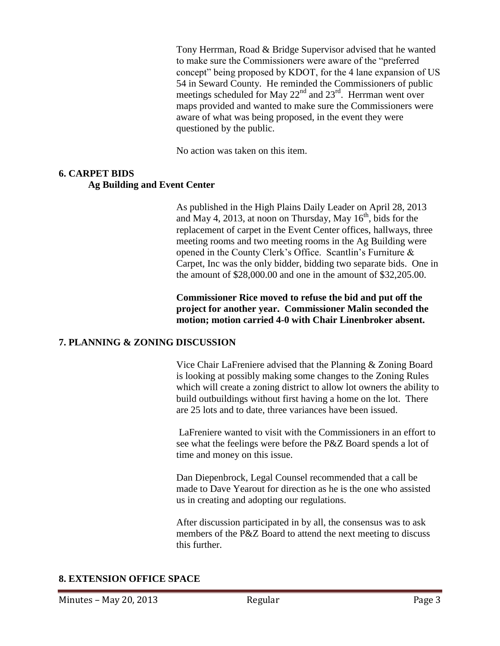Tony Herrman, Road & Bridge Supervisor advised that he wanted to make sure the Commissioners were aware of the "preferred concept" being proposed by KDOT, for the 4 lane expansion of US 54 in Seward County. He reminded the Commissioners of public meetings scheduled for May  $22<sup>nd</sup>$  and  $23<sup>rd</sup>$ . Herrman went over maps provided and wanted to make sure the Commissioners were aware of what was being proposed, in the event they were questioned by the public.

No action was taken on this item.

# **6. CARPET BIDS Ag Building and Event Center**

As published in the High Plains Daily Leader on April 28, 2013 and May 4, 2013, at noon on Thursday, May  $16<sup>th</sup>$ , bids for the replacement of carpet in the Event Center offices, hallways, three meeting rooms and two meeting rooms in the Ag Building were opened in the County Clerk's Office. Scantlin's Furniture & Carpet, Inc was the only bidder, bidding two separate bids. One in the amount of \$28,000.00 and one in the amount of \$32,205.00.

**Commissioner Rice moved to refuse the bid and put off the project for another year. Commissioner Malin seconded the motion; motion carried 4-0 with Chair Linenbroker absent.**

# **7. PLANNING & ZONING DISCUSSION**

Vice Chair LaFreniere advised that the Planning & Zoning Board is looking at possibly making some changes to the Zoning Rules which will create a zoning district to allow lot owners the ability to build outbuildings without first having a home on the lot. There are 25 lots and to date, three variances have been issued.

LaFreniere wanted to visit with the Commissioners in an effort to see what the feelings were before the P&Z Board spends a lot of time and money on this issue.

Dan Diepenbrock, Legal Counsel recommended that a call be made to Dave Yearout for direction as he is the one who assisted us in creating and adopting our regulations.

After discussion participated in by all, the consensus was to ask members of the P&Z Board to attend the next meeting to discuss this further.

# **8. EXTENSION OFFICE SPACE**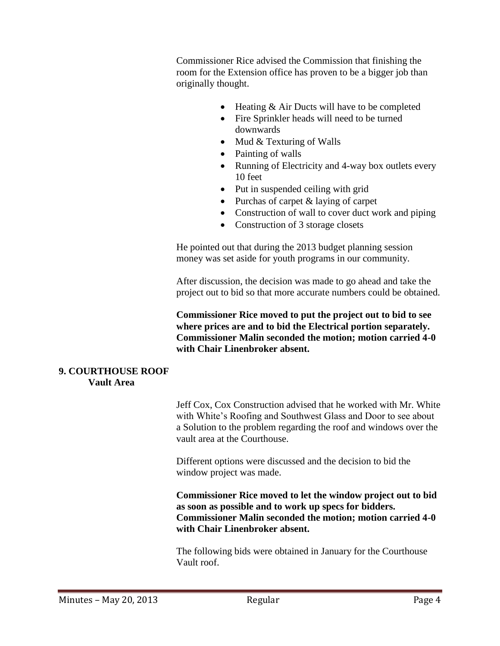Commissioner Rice advised the Commission that finishing the room for the Extension office has proven to be a bigger job than originally thought.

- Heating & Air Ducts will have to be completed
- Fire Sprinkler heads will need to be turned downwards
- Mud & Texturing of Walls
- Painting of walls
- Running of Electricity and 4-way box outlets every 10 feet
- Put in suspended ceiling with grid
- Purchas of carpet & laying of carpet
- Construction of wall to cover duct work and piping
- Construction of 3 storage closets

He pointed out that during the 2013 budget planning session money was set aside for youth programs in our community.

After discussion, the decision was made to go ahead and take the project out to bid so that more accurate numbers could be obtained.

**Commissioner Rice moved to put the project out to bid to see where prices are and to bid the Electrical portion separately. Commissioner Malin seconded the motion; motion carried 4-0 with Chair Linenbroker absent.**

#### **9. COURTHOUSE ROOF Vault Area**

Jeff Cox, Cox Construction advised that he worked with Mr. White with White's Roofing and Southwest Glass and Door to see about a Solution to the problem regarding the roof and windows over the vault area at the Courthouse.

Different options were discussed and the decision to bid the window project was made.

**Commissioner Rice moved to let the window project out to bid as soon as possible and to work up specs for bidders. Commissioner Malin seconded the motion; motion carried 4-0 with Chair Linenbroker absent.**

The following bids were obtained in January for the Courthouse Vault roof.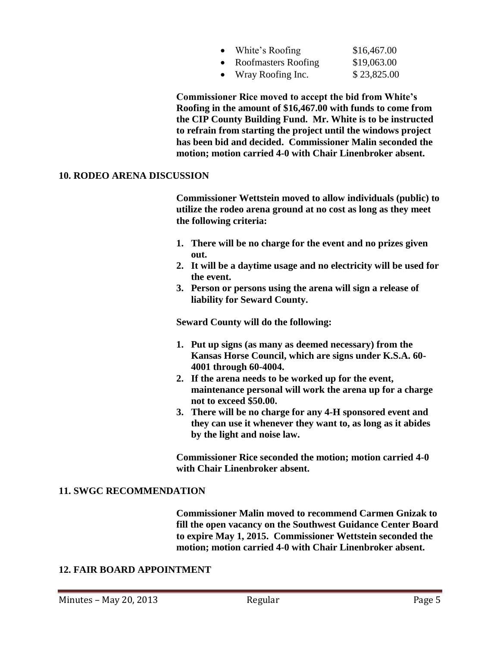| $\bullet$ | White's Roofing     | \$16,467.00 |
|-----------|---------------------|-------------|
| $\bullet$ | Roofmasters Roofing | \$19,063.00 |
| $\bullet$ | Wray Roofing Inc.   | \$23,825.00 |

**Commissioner Rice moved to accept the bid from White's Roofing in the amount of \$16,467.00 with funds to come from the CIP County Building Fund. Mr. White is to be instructed to refrain from starting the project until the windows project has been bid and decided. Commissioner Malin seconded the motion; motion carried 4-0 with Chair Linenbroker absent.**

#### **10. RODEO ARENA DISCUSSION**

**Commissioner Wettstein moved to allow individuals (public) to utilize the rodeo arena ground at no cost as long as they meet the following criteria:**

- **1. There will be no charge for the event and no prizes given out.**
- **2. It will be a daytime usage and no electricity will be used for the event.**
- **3. Person or persons using the arena will sign a release of liability for Seward County.**

**Seward County will do the following:**

- **1. Put up signs (as many as deemed necessary) from the Kansas Horse Council, which are signs under K.S.A. 60- 4001 through 60-4004.**
- **2. If the arena needs to be worked up for the event, maintenance personal will work the arena up for a charge not to exceed \$50.00.**
- **3. There will be no charge for any 4-H sponsored event and they can use it whenever they want to, as long as it abides by the light and noise law.**

**Commissioner Rice seconded the motion; motion carried 4-0 with Chair Linenbroker absent.**

## **11. SWGC RECOMMENDATION**

**Commissioner Malin moved to recommend Carmen Gnizak to fill the open vacancy on the Southwest Guidance Center Board to expire May 1, 2015. Commissioner Wettstein seconded the motion; motion carried 4-0 with Chair Linenbroker absent.**

## **12. FAIR BOARD APPOINTMENT**